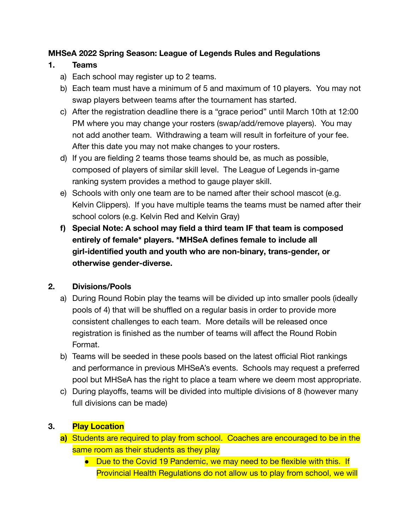### **MHSeA 2022 Spring Season: League of Legends Rules and Regulations**

#### **1. Teams**

- a) Each school may register up to 2 teams.
- b) Each team must have a minimum of 5 and maximum of 10 players. You may not swap players between teams after the tournament has started.
- c) After the registration deadline there is a "grace period" until March 10th at 12:00 PM where you may change your rosters (swap/add/remove players). You may not add another team. Withdrawing a team will result in forfeiture of your fee. After this date you may not make changes to your rosters.
- d) If you are fielding 2 teams those teams should be, as much as possible, composed of players of similar skill level. The League of Legends in-game ranking system provides a method to gauge player skill.
- e) Schools with only one team are to be named after their school mascot (e.g. Kelvin Clippers). If you have multiple teams the teams must be named after their school colors (e.g. Kelvin Red and Kelvin Gray)
- **f) Special Note: A school may field a third team IF that team is composed entirely of female\* players. \*MHSeA defines female to include all girl-identified youth and youth who are non-binary, trans-gender, or otherwise gender-diverse.**

## **2. Divisions/Pools**

- a) During Round Robin play the teams will be divided up into smaller pools (ideally pools of 4) that will be shuffled on a regular basis in order to provide more consistent challenges to each team. More details will be released once registration is finished as the number of teams will affect the Round Robin Format.
- b) Teams will be seeded in these pools based on the latest official Riot rankings and performance in previous MHSeA's events. Schools may request a preferred pool but MHSeA has the right to place a team where we deem most appropriate.
- c) During playoffs, teams will be divided into multiple divisions of 8 (however many full divisions can be made)

## **3. Play Location**

- **a)** Students are required to play from school. Coaches are encouraged to be in the same room as their students as they play
	- Due to the Covid 19 Pandemic, we may need to be flexible with this. If Provincial Health Regulations do not allow us to play from school, we will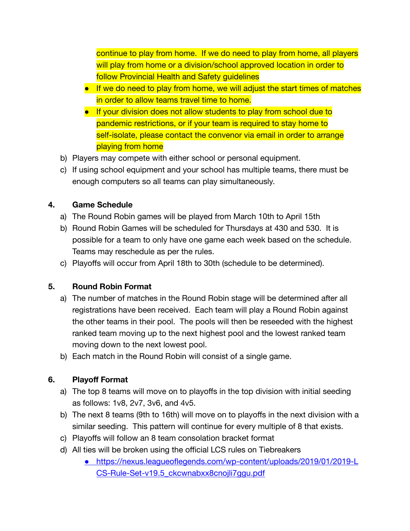continue to play from home. If we do need to play from home, all players will play from home or a division/school approved location in order to follow Provincial Health and Safety guidelines

- If we do need to play from home, we will adjust the start times of matches in order to allow teams travel time to home.
- If your division does not allow students to play from school due to pandemic restrictions, or if your team is required to stay home to self-isolate, please contact the convenor via email in order to arrange playing from home
- b) Players may compete with either school or personal equipment.
- c) If using school equipment and your school has multiple teams, there must be enough computers so all teams can play simultaneously.

### **4. Game Schedule**

- a) The Round Robin games will be played from March 10th to April 15th
- b) Round Robin Games will be scheduled for Thursdays at 430 and 530. It is possible for a team to only have one game each week based on the schedule. Teams may reschedule as per the rules.
- c) Playoffs will occur from April 18th to 30th (schedule to be determined).

## **5. Round Robin Format**

- a) The number of matches in the Round Robin stage will be determined after all registrations have been received. Each team will play a Round Robin against the other teams in their pool. The pools will then be reseeded with the highest ranked team moving up to the next highest pool and the lowest ranked team moving down to the next lowest pool.
- b) Each match in the Round Robin will consist of a single game.

## **6. Playoff Format**

- a) The top 8 teams will move on to playoffs in the top division with initial seeding as follows: 1v8, 2v7, 3v6, and 4v5.
- b) The next 8 teams (9th to 16th) will move on to playoffs in the next division with a similar seeding. This pattern will continue for every multiple of 8 that exists.
- c) Playoffs will follow an 8 team consolation bracket format
- d) All ties will be broken using the official LCS rules on Tiebreakers
	- [https://nexus.leagueoflegends.com/wp-content/uploads/2019/01/2019-L](https://nexus.leagueoflegends.com/wp-content/uploads/2019/01/2019-LCS-Rule-Set-v19.5_ckcwnabxx8cnojli7ggu.pdf) [CS-Rule-Set-v19.5\\_ckcwnabxx8cnojli7ggu.pdf](https://nexus.leagueoflegends.com/wp-content/uploads/2019/01/2019-LCS-Rule-Set-v19.5_ckcwnabxx8cnojli7ggu.pdf)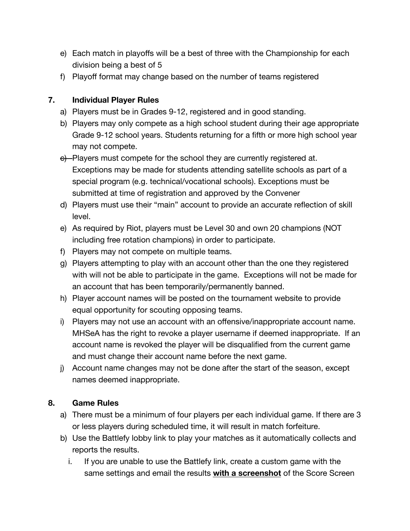- e) Each match in playoffs will be a best of three with the Championship for each division being a best of 5
- f) Playoff format may change based on the number of teams registered

## **7. Individual Player Rules**

- a) Players must be in Grades 9-12, registered and in good standing.
- b) Players may only compete as a high school student during their age appropriate Grade 9-12 school years. Students returning for a fifth or more high school year may not compete.
- e) Players must compete for the school they are currently registered at. Exceptions may be made for students attending satellite schools as part of a special program (e.g. technical/vocational schools). Exceptions must be submitted at time of registration and approved by the Convener
- d) Players must use their "main" account to provide an accurate reflection of skill level.
- e) As required by Riot, players must be Level 30 and own 20 champions (NOT including free rotation champions) in order to participate.
- f) Players may not compete on multiple teams.
- g) Players attempting to play with an account other than the one they registered with will not be able to participate in the game. Exceptions will not be made for an account that has been temporarily/permanently banned.
- h) Player account names will be posted on the tournament website to provide equal opportunity for scouting opposing teams.
- i) Players may not use an account with an offensive/inappropriate account name. MHSeA has the right to revoke a player username if deemed inappropriate. If an account name is revoked the player will be disqualified from the current game and must change their account name before the next game.
- j) Account name changes may not be done after the start of the season, except names deemed inappropriate.

# **8. Game Rules**

- a) There must be a minimum of four players per each individual game. If there are 3 or less players during scheduled time, it will result in match forfeiture.
- b) Use the Battlefy lobby link to play your matches as it automatically collects and reports the results.
	- i. If you are unable to use the Battlefy link, create a custom game with the same settings and email the results **with a screenshot** of the Score Screen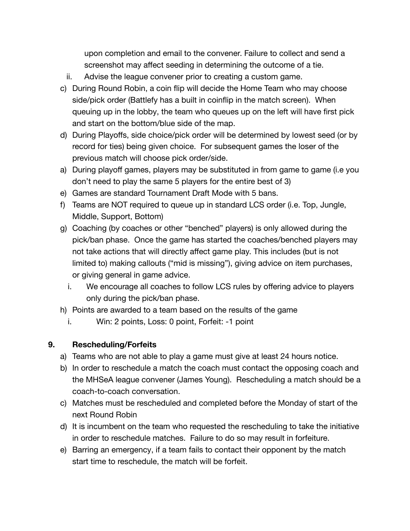upon completion and email to the convener. Failure to collect and send a screenshot may affect seeding in determining the outcome of a tie.

- ii. Advise the league convener prior to creating a custom game.
- c) During Round Robin, a coin flip will decide the Home Team who may choose side/pick order (Battlefy has a built in coinflip in the match screen). When queuing up in the lobby, the team who queues up on the left will have first pick and start on the bottom/blue side of the map.
- d) During Playoffs, side choice/pick order will be determined by lowest seed (or by record for ties) being given choice. For subsequent games the loser of the previous match will choose pick order/side.
- a) During playoff games, players may be substituted in from game to game (i.e you don't need to play the same 5 players for the entire best of 3)
- e) Games are standard Tournament Draft Mode with 5 bans.
- f) Teams are NOT required to queue up in standard LCS order (i.e. Top, Jungle, Middle, Support, Bottom)
- g) Coaching (by coaches or other "benched" players) is only allowed during the pick/ban phase. Once the game has started the coaches/benched players may not take actions that will directly affect game play. This includes (but is not limited to) making callouts ("mid is missing"), giving advice on item purchases, or giving general in game advice.
	- i. We encourage all coaches to follow LCS rules by offering advice to players only during the pick/ban phase.
- h) Points are awarded to a team based on the results of the game
	- i. Win: 2 points, Loss: 0 point, Forfeit: -1 point

#### **9. Rescheduling/Forfeits**

- a) Teams who are not able to play a game must give at least 24 hours notice.
- b) In order to reschedule a match the coach must contact the opposing coach and the MHSeA league convener (James Young). Rescheduling a match should be a coach-to-coach conversation.
- c) Matches must be rescheduled and completed before the Monday of start of the next Round Robin
- d) It is incumbent on the team who requested the rescheduling to take the initiative in order to reschedule matches. Failure to do so may result in forfeiture.
- e) Barring an emergency, if a team fails to contact their opponent by the match start time to reschedule, the match will be forfeit.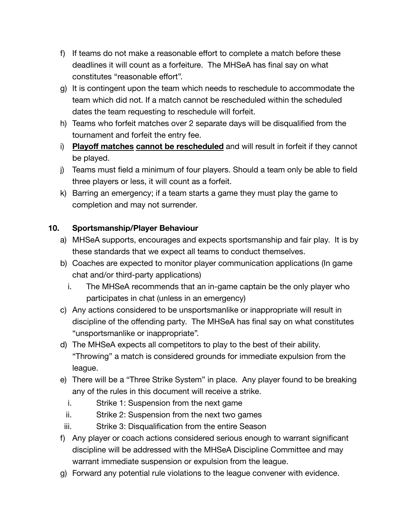- f) If teams do not make a reasonable effort to complete a match before these deadlines it will count as a forfeiture. The MHSeA has final say on what constitutes "reasonable effort".
- g) It is contingent upon the team which needs to reschedule to accommodate the team which did not. If a match cannot be rescheduled within the scheduled dates the team requesting to reschedule will forfeit.
- h) Teams who forfeit matches over 2 separate days will be disqualified from the tournament and forfeit the entry fee.
- i) **Playoff matches cannot be rescheduled** and will result in forfeit if they cannot be played.
- j) Teams must field a minimum of four players. Should a team only be able to field three players or less, it will count as a forfeit.
- k) Barring an emergency; if a team starts a game they must play the game to completion and may not surrender.

### **10. Sportsmanship/Player Behaviour**

- a) MHSeA supports, encourages and expects sportsmanship and fair play. It is by these standards that we expect all teams to conduct themselves.
- b) Coaches are expected to monitor player communication applications (In game chat and/or third-party applications)
	- i. The MHSeA recommends that an in-game captain be the only player who participates in chat (unless in an emergency)
- c) Any actions considered to be unsportsmanlike or inappropriate will result in discipline of the offending party. The MHSeA has final say on what constitutes "unsportsmanlike or inappropriate".
- d) The MHSeA expects all competitors to play to the best of their ability. "Throwing" a match is considered grounds for immediate expulsion from the league.
- e) There will be a "Three Strike System" in place. Any player found to be breaking any of the rules in this document will receive a strike.
	- i. Strike 1: Suspension from the next game
- ii. Strike 2: Suspension from the next two games
- iii. Strike 3: Disqualification from the entire Season
- f) Any player or coach actions considered serious enough to warrant significant discipline will be addressed with the MHSeA Discipline Committee and may warrant immediate suspension or expulsion from the league.
- g) Forward any potential rule violations to the league convener with evidence.